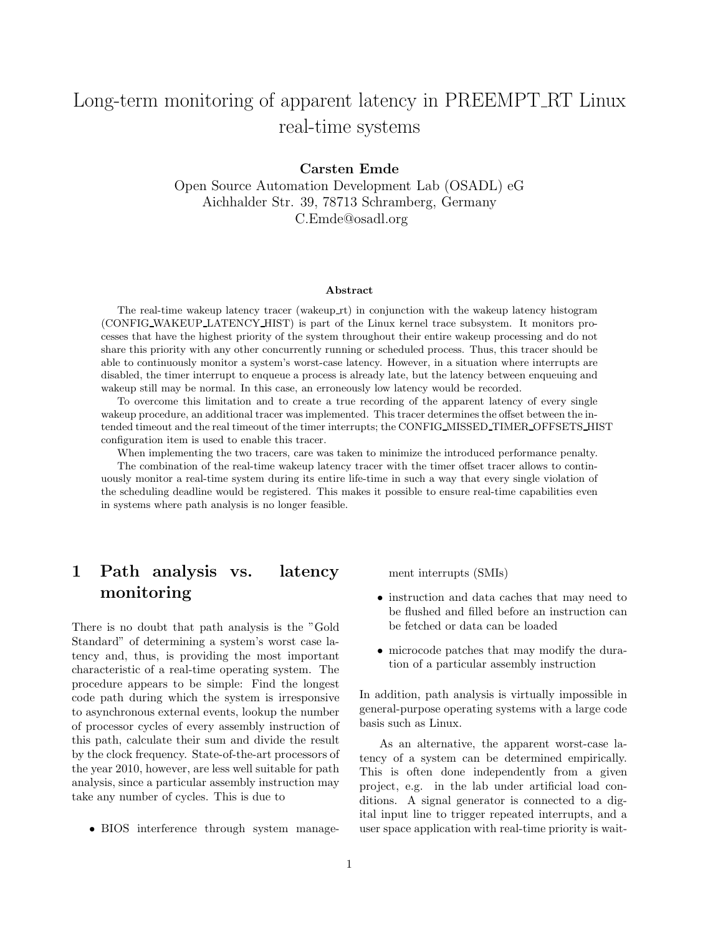# Long-term monitoring of apparent latency in PREEMPT RT Linux real-time systems

Carsten Emde

Open Source Automation Development Lab (OSADL) eG Aichhalder Str. 39, 78713 Schramberg, Germany C.Emde@osadl.org

#### Abstract

The real-time wakeup latency tracer (wakeup rt) in conjunction with the wakeup latency histogram (CONFIG WAKEUP LATENCY HIST) is part of the Linux kernel trace subsystem. It monitors processes that have the highest priority of the system throughout their entire wakeup processing and do not share this priority with any other concurrently running or scheduled process. Thus, this tracer should be able to continuously monitor a system's worst-case latency. However, in a situation where interrupts are disabled, the timer interrupt to enqueue a process is already late, but the latency between enqueuing and wakeup still may be normal. In this case, an erroneously low latency would be recorded.

To overcome this limitation and to create a true recording of the apparent latency of every single wakeup procedure, an additional tracer was implemented. This tracer determines the offset between the intended timeout and the real timeout of the timer interrupts; the CONFIG MISSED TIMER OFFSETS HIST configuration item is used to enable this tracer.

When implementing the two tracers, care was taken to minimize the introduced performance penalty. The combination of the real-time wakeup latency tracer with the timer offset tracer allows to continuously monitor a real-time system during its entire life-time in such a way that every single violation of the scheduling deadline would be registered. This makes it possible to ensure real-time capabilities even in systems where path analysis is no longer feasible.

## 1 Path analysis vs. latency monitoring

There is no doubt that path analysis is the "Gold Standard" of determining a system's worst case latency and, thus, is providing the most important characteristic of a real-time operating system. The procedure appears to be simple: Find the longest code path during which the system is irresponsive to asynchronous external events, lookup the number of processor cycles of every assembly instruction of this path, calculate their sum and divide the result by the clock frequency. State-of-the-art processors of the year 2010, however, are less well suitable for path analysis, since a particular assembly instruction may take any number of cycles. This is due to

• BIOS interference through system manage-

ment interrupts (SMIs)

- instruction and data caches that may need to be flushed and filled before an instruction can be fetched or data can be loaded
- microcode patches that may modify the duration of a particular assembly instruction

In addition, path analysis is virtually impossible in general-purpose operating systems with a large code basis such as Linux.

As an alternative, the apparent worst-case latency of a system can be determined empirically. This is often done independently from a given project, e.g. in the lab under artificial load conditions. A signal generator is connected to a digital input line to trigger repeated interrupts, and a user space application with real-time priority is wait-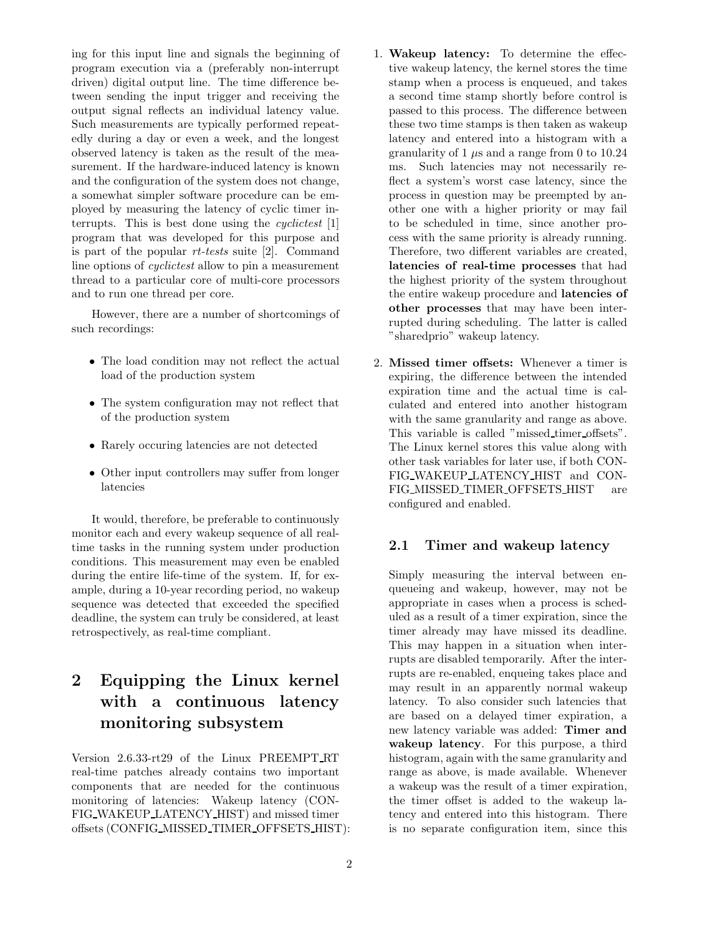ing for this input line and signals the beginning of program execution via a (preferably non-interrupt driven) digital output line. The time difference between sending the input trigger and receiving the output signal reflects an individual latency value. Such measurements are typically performed repeatedly during a day or even a week, and the longest observed latency is taken as the result of the measurement. If the hardware-induced latency is known and the configuration of the system does not change, a somewhat simpler software procedure can be employed by measuring the latency of cyclic timer interrupts. This is best done using the *cyclictest* [1] program that was developed for this purpose and is part of the popular rt-tests suite [2]. Command line options of cyclictest allow to pin a measurement thread to a particular core of multi-core processors and to run one thread per core.

However, there are a number of shortcomings of such recordings:

- The load condition may not reflect the actual load of the production system
- The system configuration may not reflect that of the production system
- Rarely occuring latencies are not detected
- Other input controllers may suffer from longer latencies

It would, therefore, be preferable to continuously monitor each and every wakeup sequence of all realtime tasks in the running system under production conditions. This measurement may even be enabled during the entire life-time of the system. If, for example, during a 10-year recording period, no wakeup sequence was detected that exceeded the specified deadline, the system can truly be considered, at least retrospectively, as real-time compliant.

## 2 Equipping the Linux kernel with a continuous latency monitoring subsystem

Version 2.6.33-rt29 of the Linux PREEMPT RT real-time patches already contains two important components that are needed for the continuous monitoring of latencies: Wakeup latency (CON-FIG WAKEUP LATENCY HIST) and missed timer offsets (CONFIG MISSED TIMER OFFSETS HIST):

- 1. Wakeup latency: To determine the effective wakeup latency, the kernel stores the time stamp when a process is enqueued, and takes a second time stamp shortly before control is passed to this process. The difference between these two time stamps is then taken as wakeup latency and entered into a histogram with a granularity of 1  $\mu$ s and a range from 0 to 10.24 ms. Such latencies may not necessarily reflect a system's worst case latency, since the process in question may be preempted by another one with a higher priority or may fail to be scheduled in time, since another process with the same priority is already running. Therefore, two different variables are created, latencies of real-time processes that had the highest priority of the system throughout the entire wakeup procedure and latencies of other processes that may have been interrupted during scheduling. The latter is called "sharedprio" wakeup latency.
- 2. Missed timer offsets: Whenever a timer is expiring, the difference between the intended expiration time and the actual time is calculated and entered into another histogram with the same granularity and range as above. This variable is called "missed timer offsets". The Linux kernel stores this value along with other task variables for later use, if both CON-FIG WAKEUP LATENCY HIST and CON-FIG MISSED TIMER OFFSETS HIST are configured and enabled.

#### 2.1 Timer and wakeup latency

Simply measuring the interval between enqueueing and wakeup, however, may not be appropriate in cases when a process is scheduled as a result of a timer expiration, since the timer already may have missed its deadline. This may happen in a situation when interrupts are disabled temporarily. After the interrupts are re-enabled, enqueing takes place and may result in an apparently normal wakeup latency. To also consider such latencies that are based on a delayed timer expiration, a new latency variable was added: Timer and wakeup latency. For this purpose, a third histogram, again with the same granularity and range as above, is made available. Whenever a wakeup was the result of a timer expiration, the timer offset is added to the wakeup latency and entered into this histogram. There is no separate configuration item, since this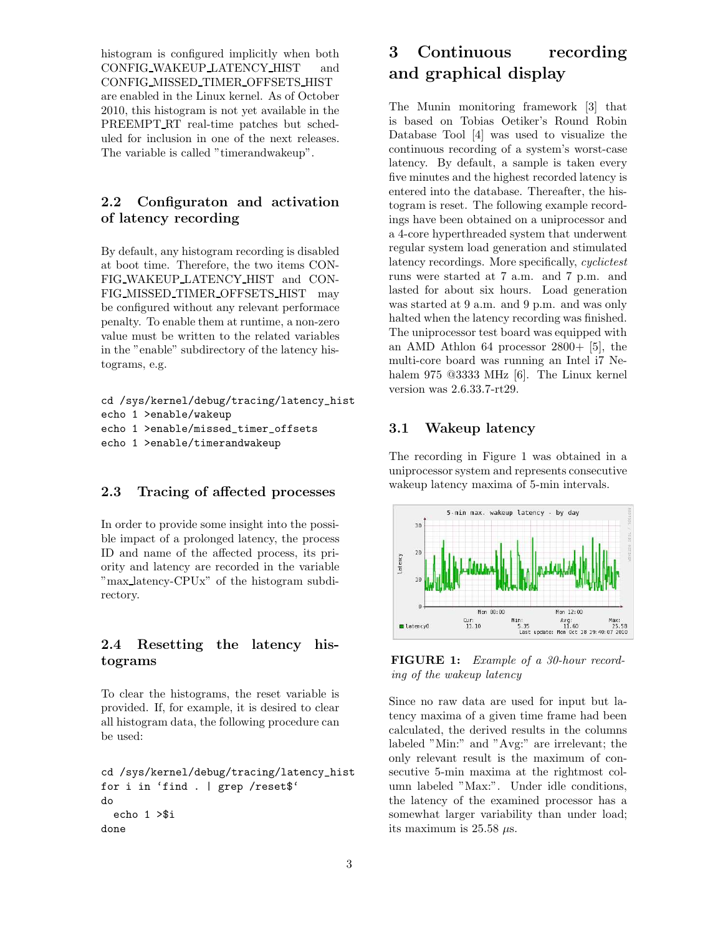histogram is configured implicitly when both CONFIG WAKEUP LATENCY HIST and CONFIG MISSED TIMER OFFSETS HIST are enabled in the Linux kernel. As of October 2010, this histogram is not yet available in the PREEMPT RT real-time patches but scheduled for inclusion in one of the next releases. The variable is called "timerandwakeup".

### 2.2 Configuraton and activation of latency recording

By default, any histogram recording is disabled at boot time. Therefore, the two items CON-FIG WAKEUP LATENCY HIST and CON-FIG MISSED TIMER OFFSETS HIST may be configured without any relevant performace penalty. To enable them at runtime, a non-zero value must be written to the related variables in the "enable" subdirectory of the latency histograms, e.g.

```
cd /sys/kernel/debug/tracing/latency_hist
echo 1 >enable/wakeup
echo 1 >enable/missed_timer_offsets
echo 1 >enable/timerandwakeup
```
### 2.3 Tracing of affected processes

In order to provide some insight into the possible impact of a prolonged latency, the process ID and name of the affected process, its priority and latency are recorded in the variable "max latency-CPUx" of the histogram subdirectory.

### 2.4 Resetting the latency histograms

To clear the histograms, the reset variable is provided. If, for example, it is desired to clear all histogram data, the following procedure can be used:

```
cd /sys/kernel/debug/tracing/latency_hist
for i in 'find . | grep /reset$'
do
  echo 1 >$i
done
```
## 3 Continuous recording and graphical display

The Munin monitoring framework [3] that is based on Tobias Oetiker's Round Robin Database Tool [4] was used to visualize the continuous recording of a system's worst-case latency. By default, a sample is taken every five minutes and the highest recorded latency is entered into the database. Thereafter, the histogram is reset. The following example recordings have been obtained on a uniprocessor and a 4-core hyperthreaded system that underwent regular system load generation and stimulated latency recordings. More specifically, *cyclictest* runs were started at 7 a.m. and 7 p.m. and lasted for about six hours. Load generation was started at 9 a.m. and 9 p.m. and was only halted when the latency recording was finished. The uniprocessor test board was equipped with an AMD Athlon 64 processor 2800+ [5], the multi-core board was running an Intel i7 Nehalem 975 @3333 MHz [6]. The Linux kernel version was 2.6.33.7-rt29.

#### 3.1 Wakeup latency

The recording in Figure 1 was obtained in a uniprocessor system and represents consecutive wakeup latency maxima of 5-min intervals.



FIGURE 1: Example of a 30-hour recording of the wakeup latency

Since no raw data are used for input but latency maxima of a given time frame had been calculated, the derived results in the columns labeled "Min:" and "Avg:" are irrelevant; the only relevant result is the maximum of consecutive 5-min maxima at the rightmost column labeled "Max:". Under idle conditions, the latency of the examined processor has a somewhat larger variability than under load; its maximum is 25.58  $\mu$ s.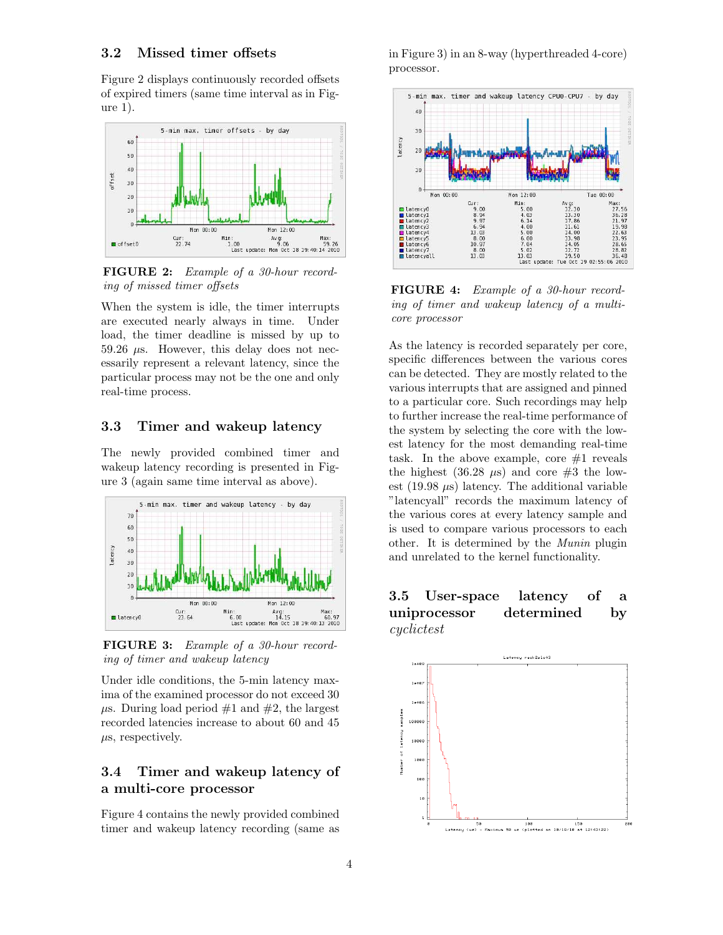#### 3.2 Missed timer offsets

Figure 2 displays continuously recorded offsets of expired timers (same time interval as in Figure 1).



FIGURE 2: Example of a 30-hour recording of missed timer offsets

When the system is idle, the timer interrupts are executed nearly always in time. Under load, the timer deadline is missed by up to 59.26  $\mu$ s. However, this delay does not necessarily represent a relevant latency, since the particular process may not be the one and only real-time process.

#### 3.3 Timer and wakeup latency

The newly provided combined timer and wakeup latency recording is presented in Figure 3 (again same time interval as above).



FIGURE 3: Example of a 30-hour recording of timer and wakeup latency

Under idle conditions, the 5-min latency maxima of the examined processor do not exceed 30  $\mu$ s. During load period #1 and #2, the largest recorded latencies increase to about 60 and 45  $\mu$ s, respectively.

### 3.4 Timer and wakeup latency of a multi-core processor

Figure 4 contains the newly provided combined timer and wakeup latency recording (same as in Figure 3) in an 8-way (hyperthreaded 4-core) processor.



FIGURE 4: Example of a 30-hour recording of timer and wakeup latency of a multicore processor

As the latency is recorded separately per core, specific differences between the various cores can be detected. They are mostly related to the various interrupts that are assigned and pinned to a particular core. Such recordings may help to further increase the real-time performance of the system by selecting the core with the lowest latency for the most demanding real-time task. In the above example, core  $#1$  reveals the highest (36.28  $\mu$ s) and core #3 the lowest (19.98  $\mu$ s) latency. The additional variable "latencyall" records the maximum latency of the various cores at every latency sample and is used to compare various processors to each other. It is determined by the Munin plugin and unrelated to the kernel functionality.

### 3.5 User-space latency of a uniprocessor determined by cyclictest

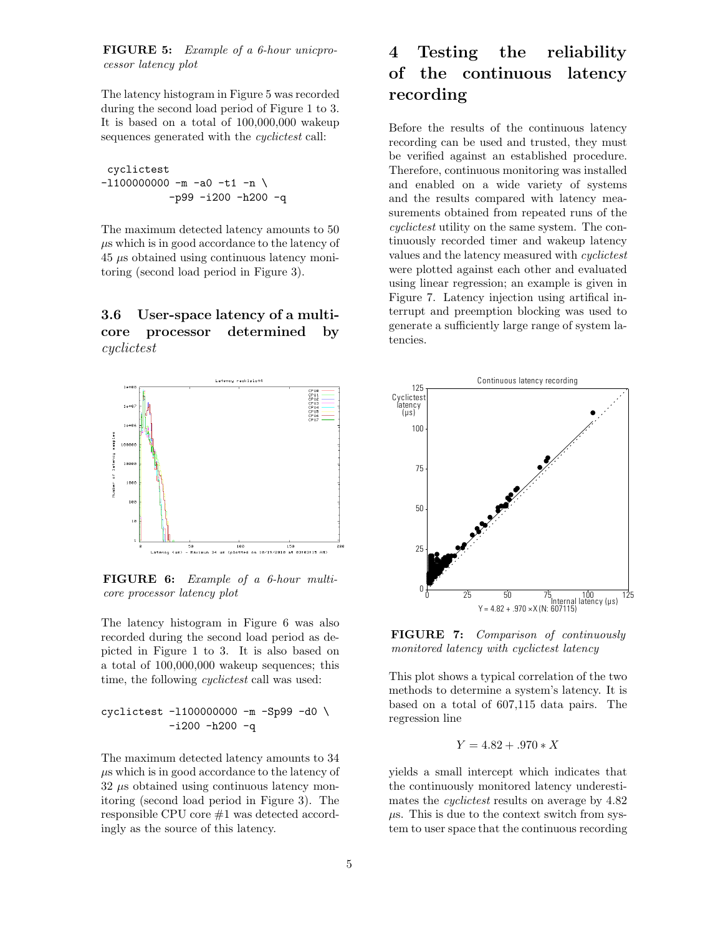FIGURE 5: Example of a 6-hour unicprocessor latency plot

The latency histogram in Figure 5 was recorded during the second load period of Figure 1 to 3. It is based on a total of 100,000,000 wakeup sequences generated with the *cyclictest* call:

cyclictest  $-11000000000 - m - a0 - t1 - n$ -p99 -i200 -h200 -q

The maximum detected latency amounts to 50  $\mu$ s which is in good accordance to the latency of 45 µs obtained using continuous latency monitoring (second load period in Figure 3).

### 3.6 User-space latency of a multicore processor determined by cyclictest



FIGURE 6: Example of a 6-hour multicore processor latency plot

The latency histogram in Figure 6 was also recorded during the second load period as depicted in Figure 1 to 3. It is also based on a total of 100,000,000 wakeup sequences; this time, the following *cyclictest* call was used:

$$
\begin{array}{cc} \texttt{cyclictest} & -1100000000 - m & -\texttt{Sp99 -d0} \\ -\texttt{i200 -h200 -q} \end{array}
$$

The maximum detected latency amounts to 34  $\mu$ s which is in good accordance to the latency of  $32 \mu s$  obtained using continuous latency monitoring (second load period in Figure 3). The responsible CPU core #1 was detected accordingly as the source of this latency.

## 4 Testing the reliability of the continuous latency recording

Before the results of the continuous latency recording can be used and trusted, they must be verified against an established procedure. Therefore, continuous monitoring was installed and enabled on a wide variety of systems and the results compared with latency measurements obtained from repeated runs of the cyclictest utility on the same system. The continuously recorded timer and wakeup latency values and the latency measured with cyclictest were plotted against each other and evaluated using linear regression; an example is given in Figure 7. Latency injection using artifical interrupt and preemption blocking was used to generate a sufficiently large range of system latencies.



FIGURE 7: Comparison of continuously monitored latency with cyclictest latency

This plot shows a typical correlation of the two methods to determine a system's latency. It is based on a total of 607,115 data pairs. The regression line

$$
Y = 4.82 + .970 * X
$$

yields a small intercept which indicates that the continuously monitored latency underestimates the *cyclictest* results on average by 4.82  $\mu$ s. This is due to the context switch from system to user space that the continuous recording